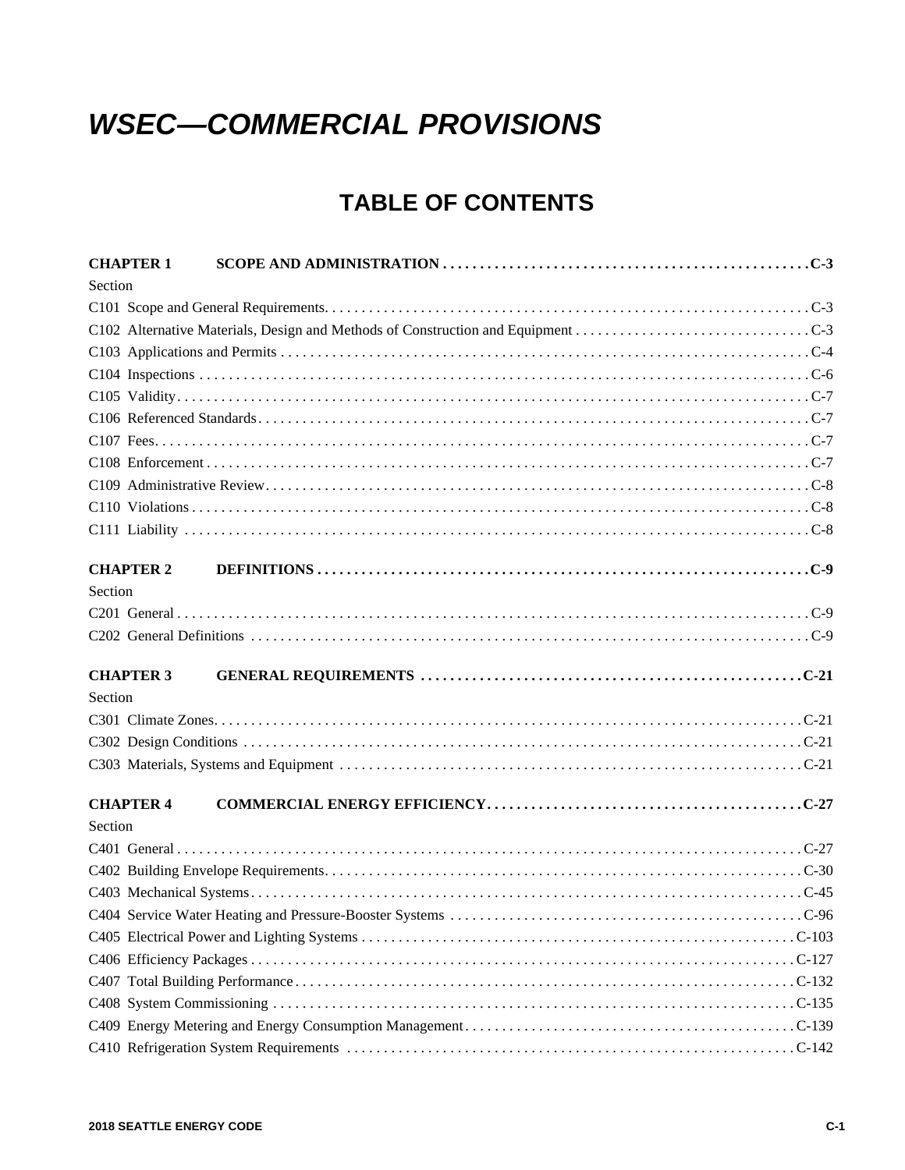## *WSEC—COMMERCIAL PROVISIONS*

## **TABLE OF CONTENTS**

| <b>CHAPTER 1</b> |  |
|------------------|--|
| Section          |  |
|                  |  |
|                  |  |
|                  |  |
|                  |  |
|                  |  |
|                  |  |
|                  |  |
|                  |  |
|                  |  |
|                  |  |
|                  |  |
| <b>CHAPTER 2</b> |  |
| Section          |  |
|                  |  |
|                  |  |
| <b>CHAPTER 3</b> |  |
| Section          |  |
|                  |  |
|                  |  |
|                  |  |
| <b>CHAPTER 4</b> |  |
| Section          |  |
|                  |  |
|                  |  |
|                  |  |
|                  |  |
|                  |  |
|                  |  |
|                  |  |
|                  |  |
|                  |  |
|                  |  |